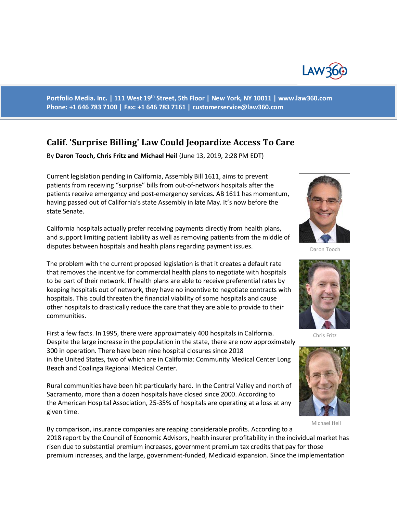

**Portfolio Media. Inc. | 111 West 19th Street, 5th Floor | New York, NY 10011 | www.law360.com Phone: +1 646 783 7100 | Fax: +1 646 783 7161 | [customerservice@law360.com](mailto:customerservice@law360.com)**

## **Calif. 'Surprise Billing' Law Could Jeopardize Access To Care**

By **Daron Tooch, Chris Fritz and Michael Heil** (June 13, 2019, 2:28 PM EDT)

Current legislation pending in California, Assembly Bill 1611, aims to prevent patients from receiving "surprise" bills from out-of-network hospitals after the patients receive emergency and post-emergency services. AB 1611 has momentum, having passed out of California's state Assembly in late May. It's now before the state Senate.

California hospitals actually prefer receiving payments directly from health plans, and support limiting patient liability as well as removing patients from the middle of disputes between hospitals and health plans regarding payment issues.

The problem with the current proposed legislation is that it creates a default rate that removes the incentive for commercial health plans to negotiate with hospitals to be part of their network. If health plans are able to receive preferential rates by keeping hospitals out of network, they have no incentive to negotiate contracts with hospitals. This could threaten the financial viability of some hospitals and cause other hospitals to drastically reduce the care that they are able to provide to their communities.

First a few facts. In 1995, there were approximately 400 hospitals in California. Despite the large increase in the population in the state, there are now approximately 300 in operation. There have been nine hospital closures since 2018 in the United States, two of which are in California: Community Medical Center Long Beach and Coalinga Regional Medical Center.

Rural communities have been hit particularly hard. In the Central Valley and north of Sacramento, more than a dozen hospitals have closed since 2000. According to the American Hospital Association, 25-35% of hospitals are operating at a loss at any given time.



Daron Tooch



Chris Fritz



Michael Heil

By comparison, insurance companies are reaping considerable profits. According to a 2018 report by the Council of Economic Advisors, health insurer profitability in the individual market has risen due to substantial premium increases, government premium tax credits that pay for those premium increases, and the large, government-funded, Medicaid expansion. Since the implementation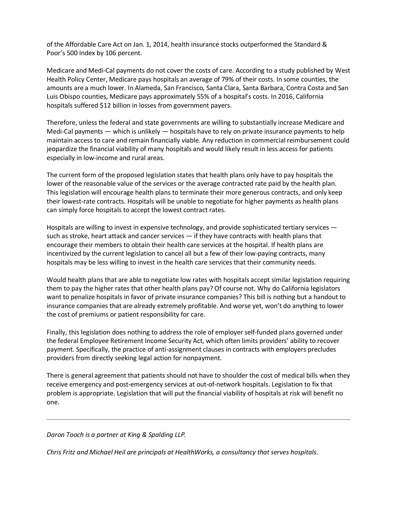of the Affordable Care Act on Jan. 1, 2014, health insurance stocks outperformed the Standard & Poor's 500 Index by 106 percent.

Medicare and Medi-Cal payments do not cover the costs of care. According to a study published by West Health Policy Center, Medicare pays hospitals an average of 79% of their costs. In some counties, the amounts are a much lower. In Alameda, San Francisco, Santa Clara, Santa Barbara, Contra Costa and San Luis Obispo counties, Medicare pays approximately 55% of a hospital's costs. In 2016, California hospitals suffered \$12 billion in losses from government payers.

Therefore, unless the federal and state governments are willing to substantially increase Medicare and Medi-Cal payments — which is unlikely — hospitals have to rely on private insurance payments to help maintain access to care and remain financially viable. Any reduction in commercial reimbursement could jeopardize the financial viability of many hospitals and would likely result in less access for patients especially in low-income and rural areas.

The current form of the proposed legislation states that health plans only have to pay hospitals the lower of the reasonable value of the services or the average contracted rate paid by the health plan. This legislation will encourage health plans to terminate their more generous contracts, and only keep their lowest-rate contracts. Hospitals will be unable to negotiate for higher payments as health plans can simply force hospitals to accept the lowest contract rates.

Hospitals are willing to invest in expensive technology, and provide sophisticated tertiary services such as stroke, heart attack and cancer services  $-$  if they have contracts with health plans that encourage their members to obtain their health care services at the hospital. If health plans are incentivized by the current legislation to cancel all but a few of their low-paying contracts, many hospitals may be less willing to invest in the health care services that their community needs.

Would health plans that are able to negotiate low rates with hospitals accept similar legislation requiring them to pay the higher rates that other health plans pay? Of course not. Why do California legislators want to penalize hospitals in favor of private insurance companies? This bill is nothing but a handout to insurance companies that are already extremely profitable. And worse yet, won't do anything to lower the cost of premiums or patient responsibility for care.

Finally, this legislation does nothing to address the role of employer self-funded plans governed under the federal Employee Retirement Income Security Act, which often limits providers' ability to recover payment. Specifically, the practice of anti-assignment clauses in contracts with employers precludes providers from directly seeking legal action for nonpayment.

There is general agreement that patients should not have to shoulder the cost of medical bills when they receive emergency and post-emergency services at out-of-network hospitals. Legislation to fix that problem is appropriate. Legislation that will put the financial viability of hospitals at risk will benefit no one.

## *Daron Tooch is a partner at King & Spalding LLP.*

*Chris Fritz and Michael Heil are principals at HealthWorks, a consultancy that serves hospitals.*